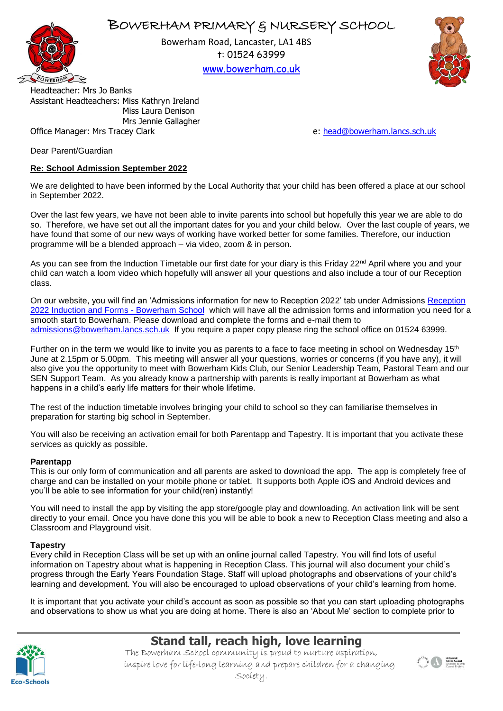## BOWERHAM PRIMARY & NURSERY SCHOOL



Bowerham Road, Lancaster, LA1 4BS t: 01524 63999

[www.bowerham.co.uk](http://www.bowerham.lancs.sch.uk/)



Headteacher: Mrs Jo Banks Assistant Headteachers: Miss Kathryn Ireland Miss Laura Denison Mrs Jennie Gallagher Office Manager: Mrs Tracey Clark example and the state of the example of the ether of [head@bowerham.lancs.sch.uk](mailto:head@bowerham.lancs.sch.uk)

Dear Parent/Guardian

### **Re: School Admission September 2022**

We are delighted to have been informed by the Local Authority that your child has been offered a place at our school in September 2022.

Over the last few years, we have not been able to invite parents into school but hopefully this year we are able to do so. Therefore, we have set out all the important dates for you and your child below. Over the last couple of years, we have found that some of our new ways of working have worked better for some families. Therefore, our induction programme will be a blended approach – via video, zoom & in person.

As you can see from the Induction Timetable our first date for your diary is this Friday 22<sup>nd</sup> April where you and your child can watch a loom video which hopefully will answer all your questions and also include a tour of our Reception class.

On our website, you will find an 'Admissions information for new to [Reception](https://www.bowerham.co.uk/reception-2022-induction-and-forms/) 2022' tab under Admissions Reception [2022 Induction and Forms -](https://www.bowerham.co.uk/reception-2022-induction-and-forms/) Bowerham School which will have all the admission forms and information you need for a smooth start to Bowerham. Please download and complete the forms and e-mail them to [admissions@bowerham.lancs.sch.uk](mailto:admissions@bowerham.lancs.sch.uk) If you require a paper copy please ring the school office on 01524 63999.

Further on in the term we would like to invite you as parents to a face to face meeting in school on Wednesday 15<sup>th</sup> June at 2.15pm or 5.00pm. This meeting will answer all your questions, worries or concerns (if you have any), it will also give you the opportunity to meet with Bowerham Kids Club, our Senior Leadership Team, Pastoral Team and our SEN Support Team. As you already know a partnership with parents is really important at Bowerham as what happens in a child's early life matters for their whole lifetime.

The rest of the induction timetable involves bringing your child to school so they can familiarise themselves in preparation for starting big school in September.

You will also be receiving an activation email for both Parentapp and Tapestry. It is important that you activate these services as quickly as possible.

#### **Parentapp**

This is our only form of communication and all parents are asked to download the app. The app is completely free of charge and can be installed on your mobile phone or tablet. It supports both Apple iOS and Android devices and you'll be able to see information for your child(ren) instantly!

You will need to install the app by visiting the app store/google play and downloading. An activation link will be sent directly to your email. Once you have done this you will be able to book a new to Reception Class meeting and also a Classroom and Playground visit.

#### **Tapestry**

Every child in Reception Class will be set up with an online journal called Tapestry. You will find lots of useful information on Tapestry about what is happening in Reception Class. This journal will also document your child's progress through the Early Years Foundation Stage. Staff will upload photographs and observations of your child's learning and development. You will also be encouraged to upload observations of your child's learning from home.

It is important that you activate your child's account as soon as possible so that you can start uploading photographs and observations to show us what you are doing at home. There is also an 'About Me' section to complete prior to



# **Stand tall, reach high, love learning**

The Bowerham School community is proud to nurture aspiration, inspire love for life-long learning and prepare children for a changing Society.